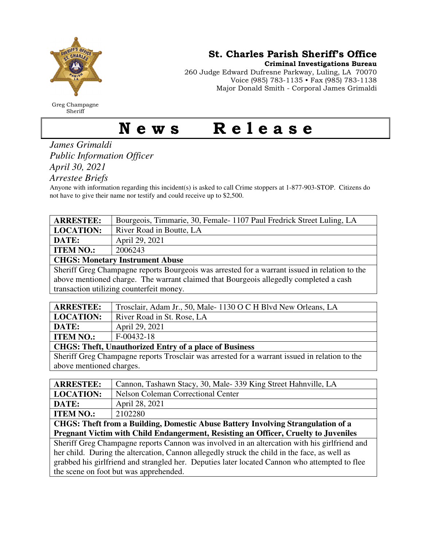

Greg Champagne Sheriff

St. Charles Parish Sheriff's Office

Criminal Investigations Bureau

260 Judge Edward Dufresne Parkway, Luling, LA 70070 Voice (985) 783-1135 • Fax (985) 783-1138 Major Donald Smith - Corporal James Grimaldi

## News Release

*James Grimaldi Public Information Officer April 30, 2021* 

*Arrestee Briefs* 

Anyone with information regarding this incident(s) is asked to call Crime stoppers at 1-877-903-STOP. Citizens do not have to give their name nor testify and could receive up to \$2,500.

| <b>ARRESTEE:</b>                                                                               | Bourgeois, Timmarie, 30, Female-1107 Paul Fredrick Street Luling, LA |  |
|------------------------------------------------------------------------------------------------|----------------------------------------------------------------------|--|
| <b>LOCATION:</b>                                                                               | River Road in Boutte, LA                                             |  |
| DATE:                                                                                          | April 29, 2021                                                       |  |
| <b>ITEM NO.:</b>                                                                               | 2006243                                                              |  |
| <b>CHGS: Monetary Instrument Abuse</b>                                                         |                                                                      |  |
| Sheriff Great Champagne reports Rourgeois was arrested for a warrant issued in relation to the |                                                                      |  |

Sheriff Greg Champagne reports Bourgeois was arrested for a warrant issued in relation to the above mentioned charge. The warrant claimed that Bourgeois allegedly completed a cash transaction utilizing counterfeit money.

| <b>ARRESTEE:</b>                                              | Trosclair, Adam Jr., 50, Male-1130 O C H Blvd New Orleans, LA |  |
|---------------------------------------------------------------|---------------------------------------------------------------|--|
| <b>LOCATION:</b>                                              | River Road in St. Rose, LA                                    |  |
| DATE:                                                         | April 29, 2021                                                |  |
| <b>ITEM NO.:</b>                                              | $F-00432-18$                                                  |  |
| <b>CHGS: Theft, Unauthorized Entry of a place of Business</b> |                                                               |  |

Sheriff Greg Champagne reports Trosclair was arrested for a warrant issued in relation to the above mentioned charges.

| <b>ARRESTEE:</b>                                                                              | Cannon, Tashawn Stacy, 30, Male-339 King Street Hahnville, LA |  |
|-----------------------------------------------------------------------------------------------|---------------------------------------------------------------|--|
| <b>LOCATION:</b>                                                                              | <b>Nelson Coleman Correctional Center</b>                     |  |
| DATE:                                                                                         | April 28, 2021                                                |  |
| <b>ITEM NO.:</b>                                                                              | 2102280                                                       |  |
| CHGS: Theft from a Building, Domestic Abuse Battery Involving Strangulation of a              |                                                               |  |
| Pregnant Victim with Child Endangerment, Resisting an Officer, Cruelty to Juveniles           |                                                               |  |
| Sheriff Greg Champagne reports Cannon was involved in an altercation with his girlfriend and  |                                                               |  |
| her child. During the altercation, Cannon allegedly struck the child in the face, as well as  |                                                               |  |
| grabbed his girlfriend and strangled her. Deputies later located Cannon who attempted to flee |                                                               |  |
| the scene on foot but was apprehended.                                                        |                                                               |  |